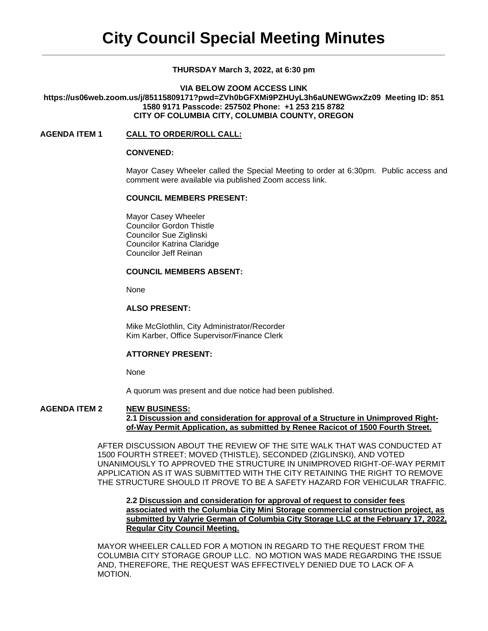# **THURSDAY March 3, 2022, at 6:30 pm**

**VIA BELOW ZOOM ACCESS LINK https://us06web.zoom.us/j/85115809171?pwd=ZVh0bGFXMi9PZHUyL3h6aUNEWGwxZz09 Meeting ID: 851 1580 9171 Passcode: 257502 Phone: +1 253 215 8782 CITY OF COLUMBIA CITY, COLUMBIA COUNTY, OREGON**

# **AGENDA ITEM 1 CALL TO ORDER/ROLL CALL:**

### **CONVENED:**

Mayor Casey Wheeler called the Special Meeting to order at 6:30pm. Public access and comment were available via published Zoom access link.

# **COUNCIL MEMBERS PRESENT:**

Mayor Casey Wheeler Councilor Gordon Thistle Councilor Sue Ziglinski Councilor Katrina Claridge Councilor Jeff Reinan

## **COUNCIL MEMBERS ABSENT:**

None

#### **ALSO PRESENT:**

Mike McGlothlin, City Administrator/Recorder Kim Karber, Office Supervisor/Finance Clerk

## **ATTORNEY PRESENT:**

None

A quorum was present and due notice had been published.

#### **AGENDA ITEM 2 NEW BUSINESS: 2.1 Discussion and consideration for approval of a Structure in Unimproved Rightof-Way Permit Application, as submitted by Renee Racicot of 1500 Fourth Street.**

AFTER DISCUSSION ABOUT THE REVIEW OF THE SITE WALK THAT WAS CONDUCTED AT 1500 FOURTH STREET; MOVED (THISTLE), SECONDED (ZIGLINSKI), AND VOTED UNANIMOUSLY TO APPROVED THE STRUCTURE IN UNIMPROVED RIGHT-OF-WAY PERMIT APPLICATION AS IT WAS SUBMITTED WITH THE CITY RETAINING THE RIGHT TO REMOVE THE STRUCTURE SHOULD IT PROVE TO BE A SAFETY HAZARD FOR VEHICULAR TRAFFIC.

**2.2 Discussion and consideration for approval of request to consider fees associated with the Columbia City Mini Storage commercial construction project, as submitted by Valyrie German of Columbia City Storage LLC at the February 17, 2022, Regular City Council Meeting.**

MAYOR WHEELER CALLED FOR A MOTION IN REGARD TO THE REQUEST FROM THE COLUMBIA CITY STORAGE GROUP LLC. NO MOTION WAS MADE REGARDING THE ISSUE AND, THEREFORE, THE REQUEST WAS EFFECTIVELY DENIED DUE TO LACK OF A MOTION.